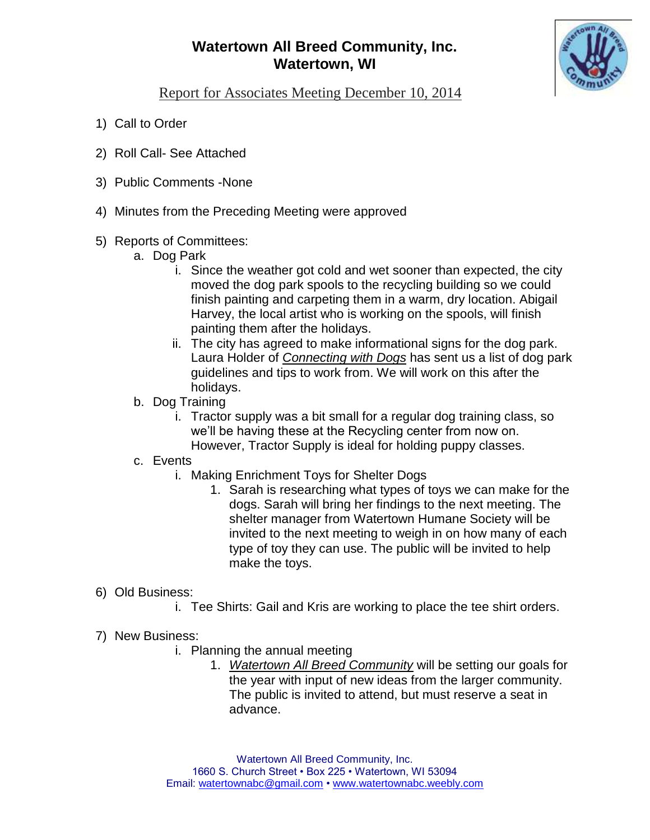## **Watertown All Breed Community, Inc. Watertown, WI**



Report for Associates Meeting December 10, 2014

- 1) Call to Order
- 2) Roll Call- See Attached
- 3) Public Comments -None
- 4) Minutes from the Preceding Meeting were approved
- 5) Reports of Committees:
	- a. Dog Park
		- i. Since the weather got cold and wet sooner than expected, the city moved the dog park spools to the recycling building so we could finish painting and carpeting them in a warm, dry location. Abigail Harvey, the local artist who is working on the spools, will finish painting them after the holidays.
		- ii. The city has agreed to make informational signs for the dog park. Laura Holder of *Connecting with Dogs* has sent us a list of dog park guidelines and tips to work from. We will work on this after the holidays.
	- b. Dog Training
		- i. Tractor supply was a bit small for a regular dog training class, so we'll be having these at the Recycling center from now on. However, Tractor Supply is ideal for holding puppy classes.
	- c. Events
		- i. Making Enrichment Toys for Shelter Dogs
			- 1. Sarah is researching what types of toys we can make for the dogs. Sarah will bring her findings to the next meeting. The shelter manager from Watertown Humane Society will be invited to the next meeting to weigh in on how many of each type of toy they can use. The public will be invited to help make the toys.
- 6) Old Business:
	- i. Tee Shirts: Gail and Kris are working to place the tee shirt orders.
- 7) New Business:
	- i. Planning the annual meeting
		- 1. *Watertown All Breed Community* will be setting our goals for the year with input of new ideas from the larger community. The public is invited to attend, but must reserve a seat in advance.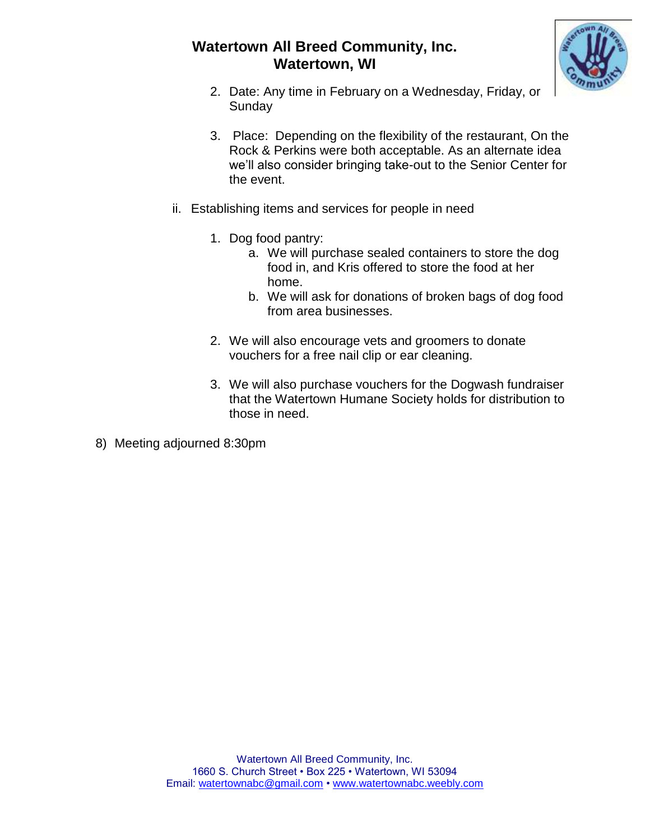## **Watertown All Breed Community, Inc. Watertown, WI**



- 2. Date: Any time in February on a Wednesday, Friday, or **Sunday**
- 3. Place: Depending on the flexibility of the restaurant, On the Rock & Perkins were both acceptable. As an alternate idea we'll also consider bringing take-out to the Senior Center for the event.
- ii. Establishing items and services for people in need
	- 1. Dog food pantry:
		- a. We will purchase sealed containers to store the dog food in, and Kris offered to store the food at her home.
		- b. We will ask for donations of broken bags of dog food from area businesses.
	- 2. We will also encourage vets and groomers to donate vouchers for a free nail clip or ear cleaning.
	- 3. We will also purchase vouchers for the Dogwash fundraiser that the Watertown Humane Society holds for distribution to those in need.
- 8) Meeting adjourned 8:30pm